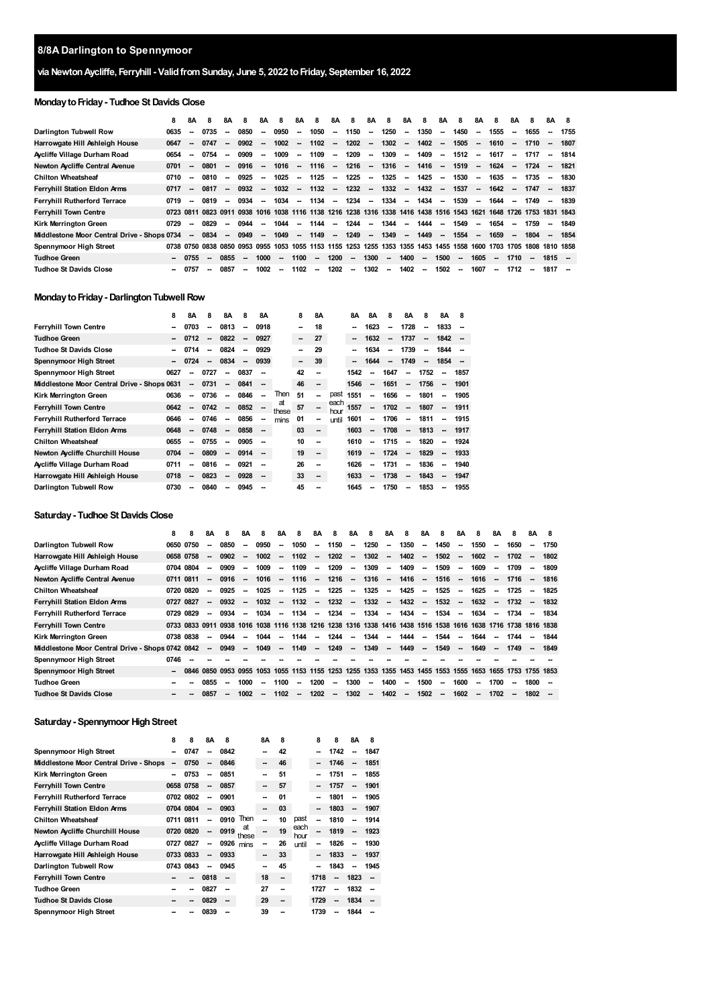# **via NewtonAycliffe, Ferryhill - ValidfromSunday, June 5, 2022 toFriday, September 16, 2022**

# **MondaytoFriday- Tudhoe St Davids Close**

|                                             | 8    | 8A                       | 8                                  | 8A                       | 8                        | 8A                       | 8      | 8Α                       | -8       | 8A                       | -8     | 8A                       | 8                                                                                                             | 8Α                       | 8        | 8Α                       | 8      | 8A                       | 8                        | 8A                       | 8                        | 8A                       | -8   |
|---------------------------------------------|------|--------------------------|------------------------------------|--------------------------|--------------------------|--------------------------|--------|--------------------------|----------|--------------------------|--------|--------------------------|---------------------------------------------------------------------------------------------------------------|--------------------------|----------|--------------------------|--------|--------------------------|--------------------------|--------------------------|--------------------------|--------------------------|------|
| Darlington Tubwell Row                      | 0635 | $\sim$                   | 0735                               | $\sim$                   | 0850                     | $\sim$                   | 0950   | -                        | 1050     | ۰.                       | 1150   | $\sim$                   | 1250                                                                                                          | $\overline{\phantom{a}}$ | 1350     | $\overline{\phantom{a}}$ | 1450   | $\overline{\phantom{a}}$ | 1555                     | $\overline{\phantom{a}}$ | 1655                     | ۰.                       | 1755 |
| Harrowgate Hill Ashleigh House              | 0647 | $\sim$                   | 0747                               | $\sim$                   | 0902                     | $\overline{\phantom{a}}$ | 1002   | -                        | 1102     | $\overline{\phantom{a}}$ | 1202   | $\sim$                   | 1302                                                                                                          | $\sim$                   | 1402     | $\sim$                   | 1505   | $\sim$                   | 1610                     | $\sim$                   | $1710 -$                 |                          | 1807 |
| Aycliffe Village Durham Road                | 0654 | $\sim$                   | 0754                               | $\overline{\phantom{a}}$ | 0909                     | $\overline{\phantom{a}}$ | 1009   | $\overline{\phantom{a}}$ | 1109     | $\sim$                   | 1209   | $\sim$                   | 1309                                                                                                          | $\sim$                   | 1409     | $\sim$                   | 1512   | $\sim$                   | 1617                     | $\sim$                   | 1717                     | --                       | 1814 |
| Newton Aycliffe Central Avenue              | 0701 | $\sim$                   | 0801                               | $\sim$                   | 0916                     | $\overline{\phantom{a}}$ | 1016   | $\overline{\phantom{a}}$ | 1116     | $\overline{\phantom{a}}$ | 1216   | $\overline{\phantom{a}}$ | 1316                                                                                                          | $\overline{\phantom{a}}$ | 1416     | $\overline{\phantom{a}}$ | 1519   | $\sim$                   | 1624                     | $\sim$                   | 1724                     | $\overline{\phantom{a}}$ | 1821 |
| <b>Chilton Wheatsheaf</b>                   | 0710 | $\overline{\phantom{a}}$ | 0810                               | --                       | 0925                     | $\overline{\phantom{a}}$ | 1025   | $\overline{\phantom{a}}$ | 1125     | $\overline{\phantom{a}}$ | 1225   | $\overline{\phantom{a}}$ | 1325                                                                                                          | $\overline{\phantom{a}}$ | 1425     | $\overline{\phantom{a}}$ | 1530   | $\sim$                   | 1635                     | $\sim$                   | $1735 -$                 |                          | 1830 |
| Ferryhill Station Eldon Arms                | 0717 | $\sim$                   | 0817                               | $\sim$                   | 0932                     | $\overline{\phantom{a}}$ | 1032   | $\overline{\phantom{a}}$ | $1132 -$ |                          | 1232   | $\sim$                   | 1332                                                                                                          | $\sim$                   | 1432     | $\sim$                   | 1537   | $\sim$                   | 1642                     | $\sim$                   | 1747                     | $\sim$                   | 1837 |
| <b>Ferryhill Rutherford Terrace</b>         | 0719 | $\overline{\phantom{a}}$ | 0819                               | $\sim$                   | 0934                     | --                       | 1034   | $\overline{\phantom{a}}$ | 1134     | $\sim$                   | 1234   | $\sim$                   | 1334                                                                                                          | $\sim$                   | $1434 -$ |                          | 1539   | $\sim$                   | 1644                     | $\sim$                   | 1749                     | $\overline{\phantom{a}}$ | 1839 |
| <b>Ferryhill Town Centre</b>                |      |                          |                                    |                          |                          |                          |        |                          |          |                          |        |                          | 0723 0811 0823 0911 0938 1016 1038 1116 1138 1216 1238 1316 1338 1416 1438 1516 1543 1621 1648 1726 1753 1831 |                          |          |                          |        |                          |                          |                          |                          |                          | 1843 |
| <b>Kirk Merrinaton Green</b>                | 0729 | $\sim$                   | 0829                               | --                       | 0944                     | $\overline{\phantom{a}}$ | 1044   | -                        | 1144     | $\overline{\phantom{a}}$ | 1244   | $\overline{\phantom{a}}$ | 1344                                                                                                          | $\overline{\phantom{a}}$ | 1444     | $\overline{\phantom{a}}$ | 1549   | $\sim$                   | 1654                     | $\sim$                   | 1759                     | --                       | 1849 |
| Middlestone Moor Central Drive - Shops 0734 |      | $\sim$                   | 0834                               | $\sim$                   | 0949                     | $\overline{\phantom{a}}$ | 1049   |                          | $- 1149$ | <b>Contract</b>          | 1249   | $\sim$                   | 1349                                                                                                          | $\overline{\phantom{a}}$ | 1449     | $\overline{\phantom{a}}$ | 1554   | $\sim$                   | 1659                     | $\sim$                   | 1804                     | $\overline{\phantom{a}}$ | 1854 |
| Spennymoor High Street                      |      |                          | 0738 0750 0838 0850 0953 0955 1053 |                          |                          |                          |        |                          |          |                          |        |                          | 1055 1153 1155 1253 1255 1353 1355 1453 1455 1558 1600 1703 1705 1808 1810 1858                               |                          |          |                          |        |                          |                          |                          |                          |                          |      |
| <b>Tudhoe Green</b>                         |      | 0755                     | $\sim$                             | 0855                     | $\sim$                   | 1000                     | $\sim$ | 1100                     | $\sim$   | 1200                     | $\sim$ | 1300                     | $\sim$                                                                                                        | 1400                     | $\sim$   | 1500                     | $\sim$ | 1605                     | $\sim$                   | 1710                     | $\overline{\phantom{a}}$ | $1815 -$                 |      |
| <b>Tudhoe St Davids Close</b>               |      | 0757                     | --                                 | 0857                     | $\overline{\phantom{a}}$ | 1002                     | $\sim$ | 1102                     | $\sim$   | 1202                     | $\sim$ | 1302                     | $\sim$                                                                                                        | 1402                     | $\sim$   | 1502                     | $\sim$ | 1607                     | $\overline{\phantom{a}}$ | 1712                     | $\overline{\phantom{a}}$ | 1817                     |      |

#### **Monday to Friday - Darlington Tubwell Row**

|                                             | 8    | 8Α                       | 8                        | 8Α                       | 8                        | 8Α                       |             | 8  | <b>8A</b> |              | 8Α     | 8Α   | 8                        | 8Α                       | 8                        | 8A   | 8    |
|---------------------------------------------|------|--------------------------|--------------------------|--------------------------|--------------------------|--------------------------|-------------|----|-----------|--------------|--------|------|--------------------------|--------------------------|--------------------------|------|------|
| <b>Ferryhill Town Centre</b>                | --   | 0703                     | --                       | 0813                     | --                       | 0918                     |             | -- | 18        |              |        | 1623 | --                       | 1728                     | -                        | 1833 |      |
| <b>Tudhoe Green</b>                         | --   | 0712                     | $\sim$                   | 0822                     | --                       | 0927                     |             | -- | 27        |              | $\sim$ | 1632 | --                       | 1737                     | $\overline{\phantom{a}}$ | 1842 |      |
| <b>Tudhoe St Davids Close</b>               |      | 0714                     | $\overline{\phantom{a}}$ | 0824                     | $\overline{\phantom{a}}$ | 0929                     |             | -- | 29        |              |        | 1634 | $\overline{\phantom{a}}$ | 1739                     | -                        | 1844 |      |
| Spennymoor High Street                      |      | 0724                     | $\sim$                   | 0834                     | $\overline{\phantom{a}}$ | 0939                     |             | -- | 39        |              |        | 1644 | --                       | 1749                     | $\overline{\phantom{a}}$ | 1854 |      |
| Spennymoor High Street                      | 0627 | --                       | 0727                     | $\overline{\phantom{a}}$ | 0837                     |                          |             | 42 | --        |              | 1542   | --   | 1647                     | -                        | 1752                     | -    | 1857 |
| Middlestone Moor Central Drive - Shops 0631 |      | $\overline{\phantom{a}}$ | 0731                     | $\overline{\phantom{a}}$ | 0841                     | $\overline{\phantom{a}}$ |             | 46 | --        |              | 1546   | --   | 1651                     | -                        | 1756                     | --   | 1901 |
| Kirk Merrington Green                       | 0636 | --                       | 0736                     | --                       | 0846                     | $\overline{\phantom{a}}$ | Then        | 51 | --        | past         | 1551   | --   | 1656                     | --                       | 1801                     | -    | 1905 |
| <b>Ferryhill Town Centre</b>                | 0642 |                          | 0742                     | $\overline{\phantom{a}}$ | 0852                     | $\overline{\phantom{a}}$ | at<br>these | 57 | --        | each<br>hour | 1557   | --   | 1702                     | $\overline{\phantom{a}}$ | 1807                     | -    | 1911 |
| <b>Ferryhill Rutherford Terrace</b>         | 0646 | --                       | 0746                     | --                       | 0856                     | $\sim$                   | mins        | 01 | --        | until        | 1601   | --   | 1706                     | $\overline{\phantom{a}}$ | 1811                     | --   | 1915 |
| Ferryhill Station Eldon Arms                | 0648 | --                       | 0748                     | $\overline{\phantom{a}}$ | 0858                     | $\sim$                   |             | 03 | --        |              | 1603   | --   | 1708                     | -                        | 1813                     | -    | 1917 |
| <b>Chilton Wheatsheaf</b>                   | 0655 | --                       | 0755                     | $\overline{\phantom{a}}$ | 0905                     | --                       |             | 10 | --        |              | 1610   | --   | 1715                     | $\overline{\phantom{a}}$ | 1820                     | --   | 1924 |
| <b>Newton Aycliffe Churchill House</b>      | 0704 | --                       | 0809                     | --                       | 0914                     | $\sim$                   |             | 19 | --        |              | 1619   | --   | 1724                     | $\overline{\phantom{a}}$ | 1829                     | -    | 1933 |
| Aycliffe Village Durham Road                | 0711 | --                       | 0816                     | $\overline{\phantom{a}}$ | 0921                     |                          |             | 26 | --        |              | 1626   | --   | 1731                     | -                        | 1836                     | -    | 1940 |
| Harrowgate Hill Ashleigh House              | 0718 | --                       | 0823                     | $\overline{\phantom{a}}$ | 0928                     | --                       |             | 33 | --        |              | 1633   | --   | 1738                     | -                        | 1843                     | --   | 1947 |
| Darlington Tubwell Row                      | 0730 | --                       | 0840                     | --                       | 0945                     |                          |             | 45 | --        |              | 1645   | --   | 1750                     | --                       | 1853                     | --   | 1955 |

#### **Saturday- Tudhoe St Davids Close**

| 8    | 8    | 8Α                                                                     | 8                                                | 8Α                       | 8            | 8Α                       | 8                                      | 8Α                                           | 8                        | 8Α                       | 8                        | 8Α                                            | 8                        | 8Α                                                           | 8                        | 8Α                           | 8            | 8Α                               | 8                        | 8A                     | 8                                                                                                                                                  |
|------|------|------------------------------------------------------------------------|--------------------------------------------------|--------------------------|--------------|--------------------------|----------------------------------------|----------------------------------------------|--------------------------|--------------------------|--------------------------|-----------------------------------------------|--------------------------|--------------------------------------------------------------|--------------------------|------------------------------|--------------|----------------------------------|--------------------------|------------------------|----------------------------------------------------------------------------------------------------------------------------------------------------|
|      |      | --                                                                     | 0850                                             | --                       | 0950         | -                        | 1050                                   | $\overline{\phantom{a}}$                     | 1150                     | $\overline{\phantom{a}}$ | 1250                     | $\overline{\phantom{a}}$                      |                          | $\overline{\phantom{a}}$                                     | 1450                     | $\sim$                       | 1550         | $\overline{\phantom{a}}$         | 1650                     | --                     | 1750                                                                                                                                               |
|      |      | --                                                                     | 0902                                             | $\overline{\phantom{a}}$ |              | $\sim$                   |                                        | $\overline{\phantom{a}}$                     | 1202                     | $\overline{\phantom{a}}$ | 1302                     | $\overline{\phantom{a}}$                      |                          | $\overline{\phantom{a}}$                                     | 1502                     | $\sim$                       | 1602         | $\sim$                           | 1702                     | $\sim$                 | 1802                                                                                                                                               |
| 0704 |      | --                                                                     | 0909                                             | --                       | 1009         | $\overline{\phantom{a}}$ | 1109                                   | $\overline{\phantom{a}}$                     | 1209                     | $\overline{\phantom{a}}$ | 1309                     | $\overline{\phantom{a}}$                      |                          | $\overline{\phantom{a}}$                                     | 1509                     | $\overline{\phantom{a}}$     | 1609         | $\sim$                           | 1709                     | $\sim$                 | 1809                                                                                                                                               |
| 0711 |      | $\sim$                                                                 |                                                  | $\overline{\phantom{a}}$ |              | $\sim$                   |                                        | $\sim$                                       |                          | $\sim$                   | 1316                     | $\overline{\phantom{a}}$                      |                          | $\overline{\phantom{a}}$                                     |                          | $\sim$                       | 1616         | $\sim$                           |                          | $\sim$                 | 1816                                                                                                                                               |
| 0720 |      |                                                                        | 0925                                             | $\overline{\phantom{a}}$ | 1025         | $\overline{\phantom{a}}$ | 1125                                   | $\overline{\phantom{a}}$                     | 1225                     | $\overline{\phantom{a}}$ | 1325                     | $\overline{\phantom{a}}$                      |                          | $\overline{\phantom{a}}$                                     | 1525                     | $\overline{\phantom{a}}$     | 1625         | $\overline{\phantom{a}}$         | 1725                     |                        | 1825                                                                                                                                               |
| 0727 |      | --                                                                     |                                                  | $\overline{\phantom{a}}$ |              | $\sim$                   |                                        | $\sim$                                       |                          | $\sim$                   | 1332                     | $\overline{\phantom{a}}$                      |                          | $\overline{\phantom{a}}$                                     |                          | $\sim$                       |              | $\sim$                           | 1732                     | $\sim$                 | 1832                                                                                                                                               |
| 0729 |      | --                                                                     | 0934                                             | $\overline{\phantom{a}}$ | 1034         | $\sim$                   |                                        | $\overline{\phantom{a}}$                     | 1234                     | $\overline{\phantom{a}}$ | 1334                     | $\overline{\phantom{a}}$                      |                          | $\overline{\phantom{a}}$                                     | 1534                     | $\sim$                       | 1634         | $\sim$                           | 1734                     |                        | 1834                                                                                                                                               |
|      |      |                                                                        |                                                  |                          |              |                          |                                        |                                              |                          |                          |                          |                                               |                          |                                                              |                          |                              |              |                                  |                          |                        |                                                                                                                                                    |
| 0738 |      |                                                                        | 0944                                             | --                       | 1044         | $\overline{\phantom{a}}$ | 1144                                   |                                              | 1244                     | $\overline{\phantom{a}}$ | 1344                     | -                                             | 1444                     | --                                                           | 1544                     | --                           | 1644         |                                  | 1744                     |                        | 1844                                                                                                                                               |
|      |      | -                                                                      | 0949                                             | --                       | 1049         | $\sim$                   |                                        | $\sim$                                       | 1249                     | $\sim$                   | 1349                     | $\overline{\phantom{a}}$                      |                          | $\overline{\phantom{a}}$                                     | 1549                     | $\sim$                       | 1649         | $\sim$                           |                          | $\sim$                 | 1849                                                                                                                                               |
| 0746 |      |                                                                        |                                                  |                          |              |                          |                                        |                                              |                          |                          |                          |                                               |                          |                                                              |                          |                              |              |                                  |                          |                        |                                                                                                                                                    |
|      | 0846 |                                                                        |                                                  |                          |              |                          |                                        |                                              |                          |                          |                          |                                               |                          |                                                              |                          |                              |              |                                  |                          |                        |                                                                                                                                                    |
|      |      | 0855                                                                   | $\sim$                                           | 1000                     | --           |                          | $\overline{\phantom{a}}$               |                                              | $\sim$                   |                          | -                        |                                               | $\overline{\phantom{a}}$ |                                                              | $\overline{\phantom{a}}$ |                              | --           | 1700                             | --                       |                        |                                                                                                                                                    |
|      |      | 0857                                                                   |                                                  | 1002                     | --           |                          |                                        |                                              | $\overline{\phantom{a}}$ |                          | $\overline{\phantom{a}}$ |                                               | $\overline{\phantom{a}}$ |                                                              | $\sim$                   |                              | --           |                                  | $\overline{\phantom{a}}$ |                        |                                                                                                                                                    |
|      |      | 0650 0750<br>0658 0758<br>0804<br>0811<br>0820<br>0827<br>0829<br>0838 | Middlestone Moor Central Drive - Shops 0742 0842 | 0850                     | 0916<br>0932 |                          | 1002<br>1016<br>1032<br>0953 0955 1053 | 1102<br>1116<br>1132<br>1149<br>1100<br>1102 | 1134                     | 1200<br>1202             | 1216<br>1232             | 1055 1153 1155 1253 1255 1353<br>1300<br>1302 | 1400<br>1402             | 1350<br>1402<br>1409<br>1416<br>1425<br>1432<br>1434<br>1449 |                          | 1516<br>1532<br>1500<br>1502 | 1600<br>1602 | 1632<br>1355 1453 1455 1553 1555 | 1702                     | 1749<br>1653 1655 1753 | 1716<br>0733 0833 0911 0938 1016 1038 1116 1138 1216 1238 1316 1338 1416 1438 1516 1538 1616 1638 1716 1738 1816 1838<br>1755 1853<br>1800<br>1802 |

# **Saturday - Spennymoor High Street**

|                                        | 8      | 8         | <b>8A</b>                | 8    |             | <b>8A</b>                | 8  |              | 8    | 8    | <b>8A</b> | 8    |
|----------------------------------------|--------|-----------|--------------------------|------|-------------|--------------------------|----|--------------|------|------|-----------|------|
| Spennymoor High Street                 | --     | 0747      | --                       | 0842 |             |                          | 42 |              | --   | 1742 | --        | 1847 |
| Middlestone Moor Central Drive - Shops | --     | 0750      | --                       | 0846 |             | --                       | 46 |              | --   | 1746 | --        | 1851 |
| Kirk Merrington Green                  | $\sim$ | 0753      | $\overline{\phantom{a}}$ | 0851 |             | --                       | 51 |              | --   | 1751 | --        | 1855 |
| <b>Ferryhill Town Centre</b>           |        | 0658 0758 | --                       | 0857 |             | --                       | 57 |              | --   | 1757 | --        | 1901 |
| <b>Ferryhill Rutherford Terrace</b>    |        | 0702 0802 | $\overline{\phantom{a}}$ | 0901 |             | --                       | 01 |              | --   | 1801 | --        | 1905 |
| Ferryhill Station Eldon Arms           |        | 0704 0804 | $\overline{\phantom{a}}$ | 0903 |             | --                       | 03 |              | --   | 1803 | --        | 1907 |
| <b>Chilton Wheatsheaf</b>              |        | 0711 0811 | $\overline{\phantom{a}}$ | 0910 | Then        | $\overline{\phantom{a}}$ | 10 | past         | --   | 1810 | --        | 1914 |
| <b>Newton Aycliffe Churchill House</b> |        | 0720 0820 | $\overline{\phantom{a}}$ | 0919 | at<br>these | --                       | 19 | each<br>hour | --   | 1819 | μ.        | 1923 |
| Aycliffe Village Durham Road           |        | 0727 0827 | --                       | 0926 | mins        | --                       | 26 | until        | --   | 1826 | --        | 1930 |
| Harrowgate Hill Ashleigh House         |        | 0733 0833 | $\overline{\phantom{a}}$ | 0933 |             | --                       | 33 |              | --   | 1833 | --        | 1937 |
| Darlington Tubwell Row                 |        | 0743 0843 | $\overline{\phantom{a}}$ | 0945 |             | --                       | 45 |              | --   | 1843 | --        | 1945 |
| <b>Ferryhill Town Centre</b>           |        | --        | 0818                     | --   |             | 18                       | -- |              | 1718 | --   | 1823      | --   |
| <b>Tudhoe Green</b>                    |        | --        | 0827                     | --   |             | 27                       | -- |              | 1727 | --   | 1832      | --   |
| <b>Tudhoe St Davids Close</b>          |        | --        | 0829                     | --   |             | 29                       | -- |              | 1729 | --   | 1834      | --   |
| Spennymoor High Street                 |        |           | 0839                     |      |             | 39                       |    |              | 1739 | --   | 1844      |      |